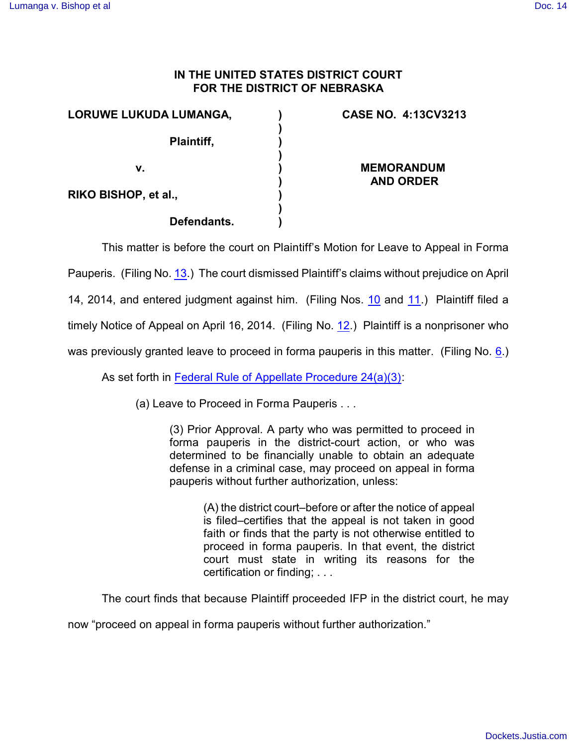## **IN THE UNITED STATES DISTRICT COURT FOR THE DISTRICT OF NEBRASKA**

| LORUWE LUKUDA LUMANGA, | <b>CASE NO. 4:13CV3213</b>            |
|------------------------|---------------------------------------|
| Plaintiff,             |                                       |
| v.                     | <b>MEMORANDUM</b><br><b>AND ORDER</b> |
| RIKO BISHOP, et al.,   |                                       |
| Defendants.            |                                       |

This matter is before the court on Plaintiff's Motion for Leave to Appeal in Forma

Pauperis. (Filing No. [13](http://ecf.ned.uscourts.gov/doc1/11313007207).) The court dismissed Plaintiff's claims without prejudice on April

14, 2014, and entered judgment against him. (Filing Nos. [10](https://ecf.ned.uscourts.gov/doc1/11313004274) and [11](https://ecf.ned.uscourts.gov/doc1/11313004277).) Plaintiff filed a

timely Notice of Appeal on April 16, 2014. (Filing No. [12](http://ecf.ned.uscourts.gov/doc1/11313007201).) Plaintiff is a nonprisoner who

was previously granted leave to proceed in forma pauperis in this matter. (Filing No. [6](http://ecf.ned.uscourts.gov/doc1/11312932959).)

As set forth in [Federal Rule of Appellate Procedure 24\(a\)\(3\)](http://web2.westlaw.com/find/default.wl?rp=%2ffind%2fdefault.wl&sv=Split&utid=3&rs=WLW11.04&cite=frap+24&fn=_top&mt=EighthCircuit&vr=2.0):

(a) Leave to Proceed in Forma Pauperis . . .

(3) Prior Approval. A party who was permitted to proceed in forma pauperis in the district-court action, or who was determined to be financially unable to obtain an adequate defense in a criminal case, may proceed on appeal in forma pauperis without further authorization, unless:

> (A) the district court–before or after the notice of appeal is filed–certifies that the appeal is not taken in good faith or finds that the party is not otherwise entitled to proceed in forma pauperis. In that event, the district court must state in writing its reasons for the certification or finding; . . .

The court finds that because Plaintiff proceeded IFP in the district court, he may

now "proceed on appeal in forma pauperis without further authorization."